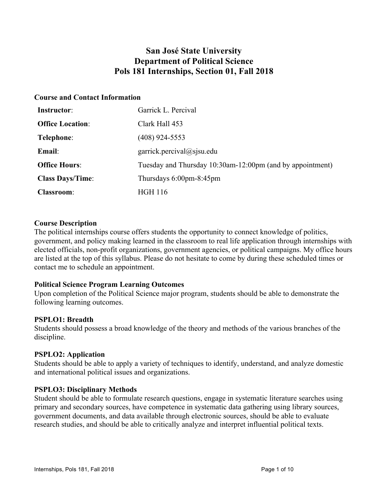## **San José State University Department of Political Science Pols 181 Internships, Section 01, Fall 2018**

### **Course and Contact Information**

| Instructor:             | Garrick L. Percival                                       |
|-------------------------|-----------------------------------------------------------|
| <b>Office Location:</b> | Clark Hall 453                                            |
| Telephone:              | (408) 924-5553                                            |
| Email:                  | garrick.percival@sjsu.edu                                 |
| <b>Office Hours:</b>    | Tuesday and Thursday 10:30am-12:00pm (and by appointment) |
| <b>Class Days/Time:</b> | Thursdays $6:00 \text{pm-}8:45 \text{pm}$                 |
| <b>Classroom:</b>       | <b>HGH 116</b>                                            |

#### **Course Description**

The political internships course offers students the opportunity to connect knowledge of politics, government, and policy making learned in the classroom to real life application through internships with elected officials, non-profit organizations, government agencies, or political campaigns. My office hours are listed at the top of this syllabus. Please do not hesitate to come by during these scheduled times or contact me to schedule an appointment.

## **Political Science Program Learning Outcomes**

Upon completion of the Political Science major program, students should be able to demonstrate the following learning outcomes.

## **PSPLO1: Breadth**

Students should possess a broad knowledge of the theory and methods of the various branches of the discipline.

## **PSPLO2: Application**

Students should be able to apply a variety of techniques to identify, understand, and analyze domestic and international political issues and organizations.

#### **PSPLO3: Disciplinary Methods**

Student should be able to formulate research questions, engage in systematic literature searches using primary and secondary sources, have competence in systematic data gathering using library sources, government documents, and data available through electronic sources, should be able to evaluate research studies, and should be able to critically analyze and interpret influential political texts.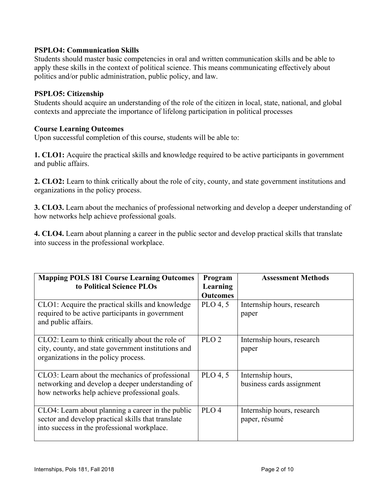#### **PSPLO4: Communication Skills**

Students should master basic competencies in oral and written communication skills and be able to apply these skills in the context of political science. This means communicating effectively about politics and/or public administration, public policy, and law.

#### **PSPLO5: Citizenship**

Students should acquire an understanding of the role of the citizen in local, state, national, and global contexts and appreciate the importance of lifelong participation in political processes

#### **Course Learning Outcomes**

Upon successful completion of this course, students will be able to:

**1. CLO1:** Acquire the practical skills and knowledge required to be active participants in government and public affairs.

**2. CLO2:** Learn to think critically about the role of city, county, and state government institutions and organizations in the policy process.

**3. CLO3.** Learn about the mechanics of professional networking and develop a deeper understanding of how networks help achieve professional goals.

**4. CLO4.** Learn about planning a career in the public sector and develop practical skills that translate into success in the professional workplace.

| <b>Mapping POLS 181 Course Learning Outcomes</b><br>to Political Science PLOs                                                                          | Program<br>Learning<br><b>Outcomes</b> | <b>Assessment Methods</b>                      |
|--------------------------------------------------------------------------------------------------------------------------------------------------------|----------------------------------------|------------------------------------------------|
| CLO1: Acquire the practical skills and knowledge<br>required to be active participants in government<br>and public affairs.                            | PLO 4, 5                               | Internship hours, research<br>paper            |
| CLO2: Learn to think critically about the role of<br>city, county, and state government institutions and<br>organizations in the policy process.       | PLO <sub>2</sub>                       | Internship hours, research<br>paper            |
| CLO3: Learn about the mechanics of professional<br>networking and develop a deeper understanding of<br>how networks help achieve professional goals.   | $PLO$ 4, 5                             | Internship hours,<br>business cards assignment |
| CLO4: Learn about planning a career in the public<br>sector and develop practical skills that translate<br>into success in the professional workplace. | PLO <sub>4</sub>                       | Internship hours, research<br>paper, résumé    |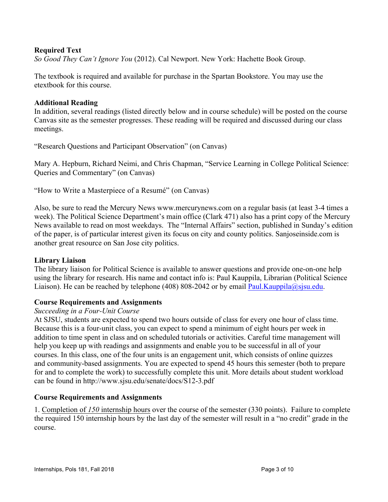#### **Required Text**

*So Good They Can't Ignore You* (2012). Cal Newport. New York: Hachette Book Group.

The textbook is required and available for purchase in the Spartan Bookstore. You may use the etextbook for this course.

#### **Additional Reading**

In addition, several readings (listed directly below and in course schedule) will be posted on the course Canvas site as the semester progresses. These reading will be required and discussed during our class meetings.

"Research Questions and Participant Observation" (on Canvas)

Mary A. Hepburn, Richard Neimi, and Chris Chapman, "Service Learning in College Political Science: Queries and Commentary" (on Canvas)

"How to Write a Masterpiece of a Resumé" (on Canvas)

Also, be sure to read the Mercury News www.mercurynews.com on a regular basis (at least 3-4 times a week). The Political Science Department's main office (Clark 471) also has a print copy of the Mercury News available to read on most weekdays. The "Internal Affairs" section, published in Sunday's edition of the paper, is of particular interest given its focus on city and county politics. Sanjoseinside.com is another great resource on San Jose city politics.

#### **Library Liaison**

The library liaison for Political Science is available to answer questions and provide one-on-one help using the library for research. His name and contact info is: Paul Kauppila, Librarian (Political Science Liaison). He can be reached by telephone (408) 808-2042 or by email Paul.Kauppila@sjsu.edu.

#### **Course Requirements and Assignments**

#### *Succeeding in a Four-Unit Course*

At SJSU, students are expected to spend two hours outside of class for every one hour of class time. Because this is a four-unit class, you can expect to spend a minimum of eight hours per week in addition to time spent in class and on scheduled tutorials or activities. Careful time management will help you keep up with readings and assignments and enable you to be successful in all of your courses. In this class, one of the four units is an engagement unit, which consists of online quizzes and community-based assignments. You are expected to spend 45 hours this semester (both to prepare for and to complete the work) to successfully complete this unit. More details about student workload can be found in http://www.sjsu.edu/senate/docs/S12-3.pdf

#### **Course Requirements and Assignments**

1. Completion of *150* internship hours over the course of the semester (330 points). Failure to complete the required 150 internship hours by the last day of the semester will result in a "no credit" grade in the course.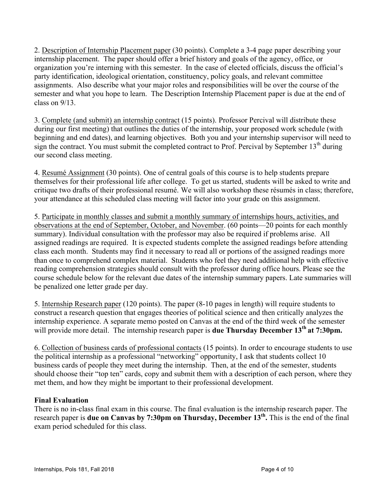2. Description of Internship Placement paper (30 points). Complete a 3-4 page paper describing your internship placement. The paper should offer a brief history and goals of the agency, office, or organization you're interning with this semester. In the case of elected officials, discuss the official's party identification, ideological orientation, constituency, policy goals, and relevant committee assignments. Also describe what your major roles and responsibilities will be over the course of the semester and what you hope to learn. The Description Internship Placement paper is due at the end of class on 9/13.

3. Complete (and submit) an internship contract (15 points). Professor Percival will distribute these during our first meeting) that outlines the duties of the internship, your proposed work schedule (with beginning and end dates), and learning objectives. Both you and your internship supervisor will need to sign the contract. You must submit the completed contract to Prof. Percival by September  $13<sup>th</sup>$  during our second class meeting.

4. Resumé Assignment (30 points). One of central goals of this course is to help students prepare themselves for their professional life after college. To get us started, students will be asked to write and critique two drafts of their professional resumé. We will also workshop these résumés in class; therefore, your attendance at this scheduled class meeting will factor into your grade on this assignment.

5. Participate in monthly classes and submit a monthly summary of internships hours, activities, and observations at the end of September, October, and November. (60 points—20 points for each monthly summary). Individual consultation with the professor may also be required if problems arise. All assigned readings are required. It is expected students complete the assigned readings before attending class each month. Students may find it necessary to read all or portions of the assigned readings more than once to comprehend complex material. Students who feel they need additional help with effective reading comprehension strategies should consult with the professor during office hours. Please see the course schedule below for the relevant due dates of the internship summary papers. Late summaries will be penalized one letter grade per day.

5. Internship Research paper (120 points). The paper (8-10 pages in length) will require students to construct a research question that engages theories of political science and then critically analyzes the internship experience. A separate memo posted on Canvas at the end of the third week of the semester will provide more detail. The internship research paper is **due Thursday December 13<sup>th</sup> at 7:30pm.** 

6. Collection of business cards of professional contacts (15 points). In order to encourage students to use the political internship as a professional "networking" opportunity, I ask that students collect 10 business cards of people they meet during the internship. Then, at the end of the semester, students should choose their "top ten" cards, copy and submit them with a description of each person, where they met them, and how they might be important to their professional development.

## **Final Evaluation**

There is no in-class final exam in this course. The final evaluation is the internship research paper. The research paper is **due on Canvas by 7:30pm on Thursday, December 13th.** This is the end of the final exam period scheduled for this class.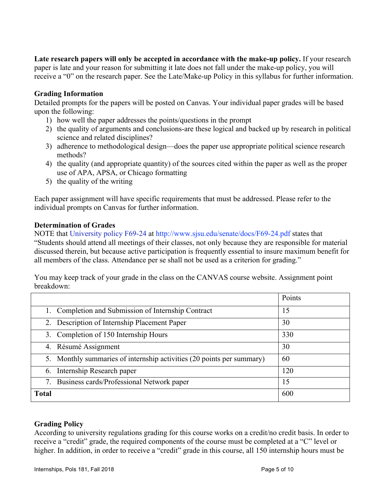**Late research papers will only be accepted in accordance with the make-up policy.** If your research paper is late and your reason for submitting it late does not fall under the make-up policy, you will receive a "0" on the research paper. See the Late/Make-up Policy in this syllabus for further information.

#### **Grading Information**

Detailed prompts for the papers will be posted on Canvas. Your individual paper grades will be based upon the following:

- 1) how well the paper addresses the points/questions in the prompt
- 2) the quality of arguments and conclusions-are these logical and backed up by research in political science and related disciplines?
- 3) adherence to methodological design—does the paper use appropriate political science research methods?
- 4) the quality (and appropriate quantity) of the sources cited within the paper as well as the proper use of APA, APSA, or Chicago formatting
- 5) the quality of the writing

Each paper assignment will have specific requirements that must be addressed. Please refer to the individual prompts on Canvas for further information.

#### **Determination of Grades**

NOTE that University policy F69-24 at http://www.sjsu.edu/senate/docs/F69-24.pdf states that "Students should attend all meetings of their classes, not only because they are responsible for material discussed therein, but because active participation is frequently essential to insure maximum benefit for all members of the class. Attendance per se shall not be used as a criterion for grading."

You may keep track of your grade in the class on the CANVAS course website. Assignment point breakdown:

|                                                                             | Points |  |
|-----------------------------------------------------------------------------|--------|--|
| 1. Completion and Submission of Internship Contract                         | 15     |  |
| 2. Description of Internship Placement Paper<br>30                          |        |  |
| 3. Completion of 150 Internship Hours<br>330                                |        |  |
| 4. Résumé Assignment<br>30                                                  |        |  |
| 5. Monthly summaries of internship activities (20 points per summary)<br>60 |        |  |
| 120<br>Internship Research paper<br>6.                                      |        |  |
| Business cards/Professional Network paper                                   | 15     |  |
| <b>Total</b>                                                                | 600    |  |

## **Grading Policy**

According to university regulations grading for this course works on a credit/no credit basis. In order to receive a "credit" grade, the required components of the course must be completed at a "C" level or higher. In addition, in order to receive a "credit" grade in this course, all 150 internship hours must be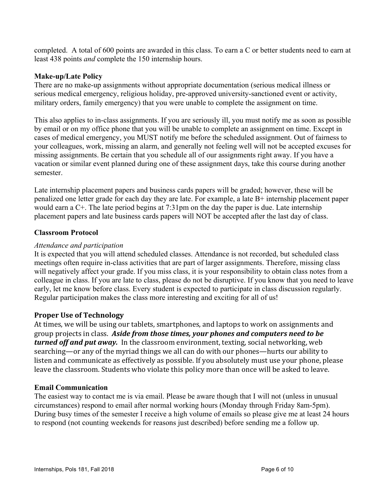completed. A total of 600 points are awarded in this class. To earn a C or better students need to earn at least 438 points *and* complete the 150 internship hours.

#### **Make-up/Late Policy**

There are no make-up assignments without appropriate documentation (serious medical illness or serious medical emergency, religious holiday, pre-approved university-sanctioned event or activity, military orders, family emergency) that you were unable to complete the assignment on time.

This also applies to in-class assignments. If you are seriously ill, you must notify me as soon as possible by email or on my office phone that you will be unable to complete an assignment on time. Except in cases of medical emergency, you MUST notify me before the scheduled assignment. Out of fairness to your colleagues, work, missing an alarm, and generally not feeling well will not be accepted excuses for missing assignments. Be certain that you schedule all of our assignments right away. If you have a vacation or similar event planned during one of these assignment days, take this course during another semester.

Late internship placement papers and business cards papers will be graded; however, these will be penalized one letter grade for each day they are late. For example, a late B+ internship placement paper would earn a C+. The late period begins at 7:31pm on the day the paper is due. Late internship placement papers and late business cards papers will NOT be accepted after the last day of class.

#### **Classroom Protocol**

#### *Attendance and participation*

It is expected that you will attend scheduled classes. Attendance is not recorded, but scheduled class meetings often require in-class activities that are part of larger assignments. Therefore, missing class will negatively affect your grade. If you miss class, it is your responsibility to obtain class notes from a colleague in class. If you are late to class, please do not be disruptive. If you know that you need to leave early, let me know before class. Every student is expected to participate in class discussion regularly. Regular participation makes the class more interesting and exciting for all of us!

## **Proper Use of Technology**

At times, we will be using our tablets, smartphones, and laptops to work on assignments and group projects in class. Aside from those times, your phones and computers need to be *turned off and put away.* In the classroom environment, texting, social networking, web searching—or any of the myriad things we all can do with our phones—hurts our ability to listen and communicate as effectively as possible. If you absolutely must use your phone, please leave the classroom. Students who violate this policy more than once will be asked to leave.

#### **Email Communication**

The easiest way to contact me is via email. Please be aware though that I will not (unless in unusual circumstances) respond to email after normal working hours (Monday through Friday 8am-5pm). During busy times of the semester I receive a high volume of emails so please give me at least 24 hours to respond (not counting weekends for reasons just described) before sending me a follow up.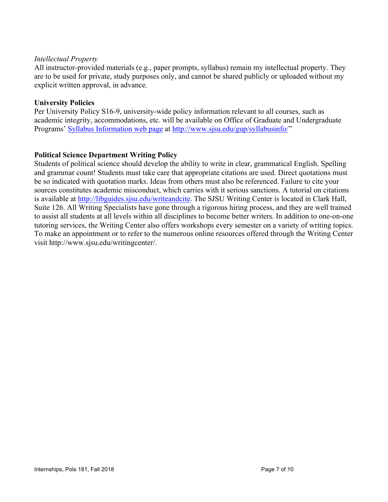#### *Intellectual Property*

All instructor-provided materials (e.g., paper prompts, syllabus) remain my intellectual property. They are to be used for private, study purposes only, and cannot be shared publicly or uploaded without my explicit written approval, in advance.

#### **University Policies**

Per University Policy S16-9, university-wide policy information relevant to all courses, such as academic integrity, accommodations, etc. will be available on Office of Graduate and Undergraduate Programs' Syllabus Information web page at http://www.sjsu.edu/gup/syllabusinfo/"

## **Political Science Department Writing Policy**

Students of political science should develop the ability to write in clear, grammatical English. Spelling and grammar count! Students must take care that appropriate citations are used. Direct quotations must be so indicated with quotation marks. Ideas from others must also be referenced. Failure to cite your sources constitutes academic misconduct, which carries with it serious sanctions. A tutorial on citations is available at http://libguides.sjsu.edu/writeandcite. The SJSU Writing Center is located in Clark Hall, Suite 126. All Writing Specialists have gone through a rigorous hiring process, and they are well trained to assist all students at all levels within all disciplines to become better writers. In addition to one-on-one tutoring services, the Writing Center also offers workshops every semester on a variety of writing topics. To make an appointment or to refer to the numerous online resources offered through the Writing Center visit http://www.sjsu.edu/writingcenter/.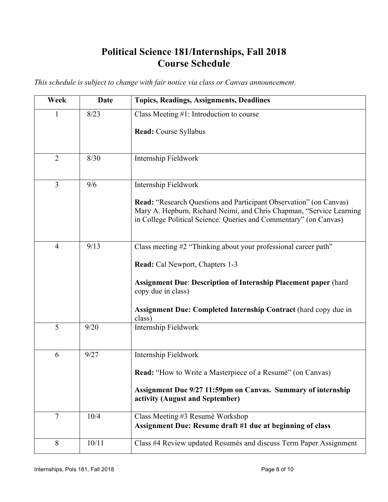# **Political Science 181/Internships, Fall 2018 Course Schedule**

*This schedule is subject to change with fair notice via class or Canvas announcement.* 

| Week           | <b>Date</b> | <b>Topics, Readings, Assignments, Deadlines</b>                                                                                                                                                                        |
|----------------|-------------|------------------------------------------------------------------------------------------------------------------------------------------------------------------------------------------------------------------------|
| 1              | 8/23        | Class Meeting $#1$ : Introduction to course                                                                                                                                                                            |
|                |             | Read: Course Syllabus                                                                                                                                                                                                  |
| $\overline{2}$ | 8/30        | Internship Fieldwork                                                                                                                                                                                                   |
| $\overline{3}$ | 9/6         | Internship Fieldwork                                                                                                                                                                                                   |
|                |             | <b>Read:</b> "Research Questions and Participant Observation" (on Canvas)<br>Mary A. Hepburn, Richard Neimi, and Chris Chapman, "Service Learning<br>in College Political Science: Queries and Commentary" (on Canvas) |
| $\overline{4}$ | 9/13        | Class meeting #2 "Thinking about your professional career path"                                                                                                                                                        |
|                |             | <b>Read:</b> Cal Newport, Chapters 1-3                                                                                                                                                                                 |
|                |             | <b>Assignment Due: Description of Internship Placement paper (hard</b><br>copy due in class)                                                                                                                           |
|                |             | <b>Assignment Due: Completed Internship Contract (hard copy due in</b><br>class)                                                                                                                                       |
| 5              | 9/20        | Internship Fieldwork                                                                                                                                                                                                   |
| 6              | 9/27        | Internship Fieldwork                                                                                                                                                                                                   |
|                |             | Read: "How to Write a Masterpiece of a Resumé" (on Canvas)                                                                                                                                                             |
|                |             | Assignment Due 9/27 11:59pm on Canvas. Summary of internship<br>activity (August and September)                                                                                                                        |
| $\tau$         | 10/4        | Class Meeting #3 Resumé Workshop<br>Assignment Due: Resume draft #1 due at beginning of class                                                                                                                          |
| 8              | 10/11       | Class #4 Review updated Resumés and discuss Term Paper Assignment                                                                                                                                                      |